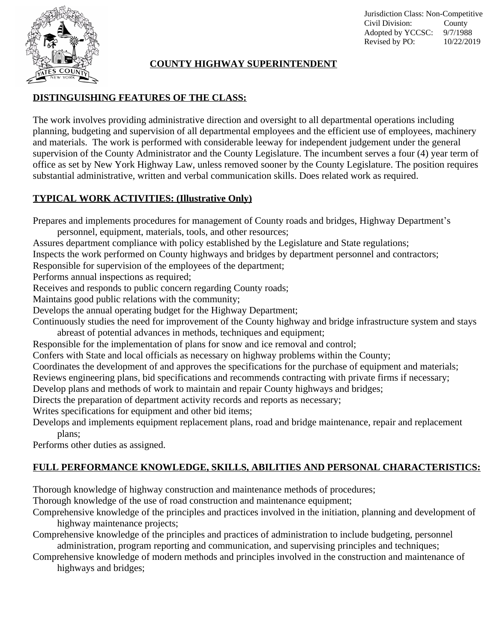

Jurisdiction Class: Non-Competitive Civil Division: County Adopted by YCCSC: 9/7/1988 Revised by PO: 10/22/2019

#### **COUNTY HIGHWAY SUPERINTENDENT**

### **DISTINGUISHING FEATURES OF THE CLASS:**

The work involves providing administrative direction and oversight to all departmental operations including planning, budgeting and supervision of all departmental employees and the efficient use of employees, machinery and materials. The work is performed with considerable leeway for independent judgement under the general supervision of the County Administrator and the County Legislature. The incumbent serves a four (4) year term of office as set by New York Highway Law, unless removed sooner by the County Legislature. The position requires substantial administrative, written and verbal communication skills. Does related work as required.

### **TYPICAL WORK ACTIVITIES: (Illustrative Only)**

Prepares and implements procedures for management of County roads and bridges, Highway Department's

personnel, equipment, materials, tools, and other resources;

Assures department compliance with policy established by the Legislature and State regulations;

Inspects the work performed on County highways and bridges by department personnel and contractors;

Responsible for supervision of the employees of the department;

Performs annual inspections as required;

Receives and responds to public concern regarding County roads;

Maintains good public relations with the community;

Develops the annual operating budget for the Highway Department;

Continuously studies the need for improvement of the County highway and bridge infrastructure system and stays abreast of potential advances in methods, techniques and equipment;

Responsible for the implementation of plans for snow and ice removal and control;

Confers with State and local officials as necessary on highway problems within the County;

Coordinates the development of and approves the specifications for the purchase of equipment and materials;

Reviews engineering plans, bid specifications and recommends contracting with private firms if necessary;

Develop plans and methods of work to maintain and repair County highways and bridges;

Directs the preparation of department activity records and reports as necessary;

Writes specifications for equipment and other bid items;

Develops and implements equipment replacement plans, road and bridge maintenance, repair and replacement plans;

Performs other duties as assigned.

# **FULL PERFORMANCE KNOWLEDGE, SKILLS, ABILITIES AND PERSONAL CHARACTERISTICS:**

Thorough knowledge of highway construction and maintenance methods of procedures;

Thorough knowledge of the use of road construction and maintenance equipment;

Comprehensive knowledge of the principles and practices involved in the initiation, planning and development of highway maintenance projects;

Comprehensive knowledge of the principles and practices of administration to include budgeting, personnel administration, program reporting and communication, and supervising principles and techniques;

Comprehensive knowledge of modern methods and principles involved in the construction and maintenance of highways and bridges;